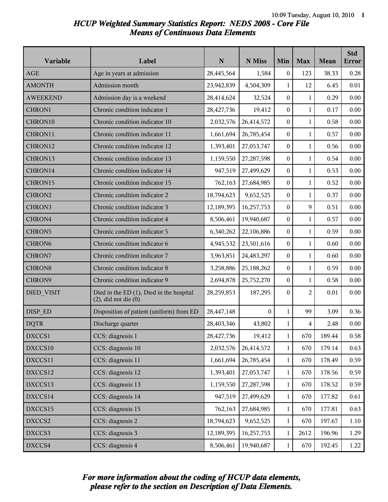# *HCUP Weighted Summary Statistics Report: NEDS 2008 - Core File Means of Continuous Data Elements*

| Variable           | Label                                                                 | $\mathbf N$ | N Miss       | Min              | <b>Max</b>     | Mean   | <b>Std</b><br><b>Error</b> |
|--------------------|-----------------------------------------------------------------------|-------------|--------------|------------------|----------------|--------|----------------------------|
| <b>AGE</b>         | Age in years at admission                                             | 28,445,564  | 1,584        | $\boldsymbol{0}$ | 123            | 38.33  | 0.28                       |
| <b>AMONTH</b>      | Admission month                                                       | 23,942,839  | 4,504,309    | $\mathbf{1}$     | 12             | 6.45   | 0.01                       |
| <b>AWEEKEND</b>    | Admission day is a weekend                                            | 28,414,624  | 32,524       | $\boldsymbol{0}$ | $\mathbf{1}$   | 0.29   | 0.00                       |
| CHRON1             | Chronic condition indicator 1                                         | 28,427,736  | 19,412       | $\boldsymbol{0}$ | $\mathbf{1}$   | 0.17   | 0.00                       |
| CHRON10            | Chronic condition indicator 10                                        | 2,032,576   | 26,414,572   | $\boldsymbol{0}$ | $\mathbf{1}$   | 0.58   | 0.00                       |
| CHRON11            | Chronic condition indicator 11                                        | 1,661,694   | 26,785,454   | $\boldsymbol{0}$ | $\mathbf{1}$   | 0.57   | 0.00                       |
| CHRON12            | Chronic condition indicator 12                                        | 1,393,401   | 27,053,747   | $\boldsymbol{0}$ | $\mathbf{1}$   | 0.56   | 0.00                       |
| CHRON13            | Chronic condition indicator 13                                        | 1,159,550   | 27,287,598   | $\boldsymbol{0}$ | $\mathbf{1}$   | 0.54   | 0.00                       |
| CHRON14            | Chronic condition indicator 14                                        | 947,519     | 27,499,629   | $\boldsymbol{0}$ | $\mathbf{1}$   | 0.53   | 0.00                       |
| CHRON15            | Chronic condition indicator 15                                        | 762,163     | 27,684,985   | $\boldsymbol{0}$ | $\mathbf{1}$   | 0.52   | 0.00                       |
| CHRON2             | Chronic condition indicator 2                                         | 18,794,623  | 9,652,525    | $\boldsymbol{0}$ | $\mathbf{1}$   | 0.37   | 0.00                       |
| CHRON3             | Chronic condition indicator 3                                         | 12,189,395  | 16,257,753   | $\boldsymbol{0}$ | 9              | 0.51   | 0.00                       |
| CHRON4             | Chronic condition indicator 4                                         | 8,506,461   | 19,940,687   | $\boldsymbol{0}$ | $\mathbf{1}$   | 0.57   | 0.00                       |
| CHRON5             | Chronic condition indicator 5                                         | 6,340,262   | 22,106,886   | $\boldsymbol{0}$ | $\mathbf{1}$   | 0.59   | 0.00                       |
| CHRON <sub>6</sub> | Chronic condition indicator 6                                         | 4,945,532   | 23,501,616   | $\boldsymbol{0}$ | $\mathbf{1}$   | 0.60   | 0.00                       |
| CHRON7             | Chronic condition indicator 7                                         | 3,963,851   | 24,483,297   | $\boldsymbol{0}$ | $\mathbf{1}$   | 0.60   | 0.00                       |
| <b>CHRON8</b>      | Chronic condition indicator 8                                         | 3,258,886   | 25,188,262   | $\boldsymbol{0}$ | $\mathbf{1}$   | 0.59   | 0.00                       |
| CHRON9             | Chronic condition indicator 9                                         | 2,694,878   | 25,752,270   | $\boldsymbol{0}$ | $\mathbf{1}$   | 0.58   | 0.00                       |
| DIED_VISIT         | Died in the ED (1), Died in the hospital<br>$(2)$ , did not die $(0)$ | 28,259,853  | 187,295      | $\boldsymbol{0}$ | $\overline{c}$ | 0.01   | 0.00                       |
| DISP ED            | Disposition of patient (uniform) from ED                              | 28,447,148  | $\mathbf{0}$ | $\mathbf{1}$     | 99             | 3.09   | 0.36                       |
| <b>DQTR</b>        | Discharge quarter                                                     | 28,403,346  | 43,802       | 1                | 4              | 2.48   | 0.00                       |
| DXCCS1             | CCS: diagnosis 1                                                      | 28,427,736  | 19,412       | $\mathbf{1}$     | 670            | 189.44 | 0.58                       |
| DXCCS10            | CCS: diagnosis 10                                                     | 2,032,576   | 26,414,572   | $\mathbf{1}$     | 670            | 179.14 | 0.63                       |
| DXCCS11            | CCS: diagnosis 11                                                     | 1,661,694   | 26,785,454   | $\mathbf{1}$     | 670            | 178.49 | 0.59                       |
| DXCCS12            | CCS: diagnosis 12                                                     | 1,393,401   | 27,053,747   | 1                | 670            | 178.56 | 0.59                       |
| DXCCS13            | CCS: diagnosis 13                                                     | 1,159,550   | 27, 287, 598 | $\mathbf{1}$     | 670            | 178.52 | 0.59                       |
| DXCCS14            | CCS: diagnosis 14                                                     | 947,519     | 27,499,629   | $\mathbf{1}$     | 670            | 177.82 | 0.61                       |
| DXCCS15            | CCS: diagnosis 15                                                     | 762,163     | 27,684,985   | $\mathbf{1}$     | 670            | 177.81 | 0.63                       |
| DXCCS2             | CCS: diagnosis 2                                                      | 18,794,623  | 9,652,525    | $\mathbf{1}$     | 670            | 197.67 | 1.10                       |
| DXCCS3             | CCS: diagnosis 3                                                      | 12,189,395  | 16,257,753   | $\mathbf{1}$     | 2612           | 196.96 | 1.29                       |
| DXCCS4             | CCS: diagnosis 4                                                      | 8,506,461   | 19,940,687   | $\mathbf{1}$     | 670            | 192.45 | 1.22                       |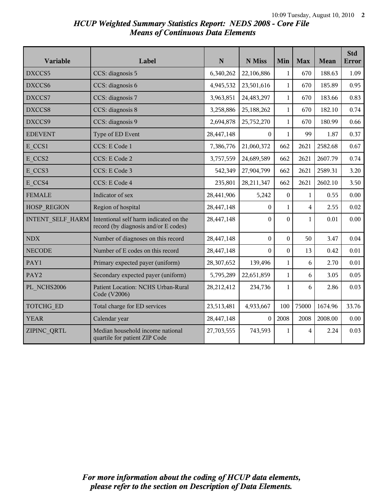## *HCUP Weighted Summary Statistics Report: NEDS 2008 - Core File Means of Continuous Data Elements*

| Variable                | Label                                                                          | N          | N Miss           | Min              | <b>Max</b>              | Mean    | <b>Std</b><br><b>Error</b> |
|-------------------------|--------------------------------------------------------------------------------|------------|------------------|------------------|-------------------------|---------|----------------------------|
| DXCCS5                  | CCS: diagnosis 5                                                               | 6,340,262  | 22,106,886       | $\mathbf{1}$     | 670                     | 188.63  | 1.09                       |
| DXCCS6                  | CCS: diagnosis 6                                                               | 4,945,532  | 23,501,616       | $\mathbf{1}$     | 670                     | 185.89  | 0.95                       |
| DXCCS7                  | CCS: diagnosis 7                                                               | 3,963,851  | 24,483,297       | $\mathbf{1}$     | 670                     | 183.66  | 0.83                       |
| DXCCS8                  | CCS: diagnosis 8                                                               | 3,258,886  | 25,188,262       | $\mathbf{1}$     | 670                     | 182.10  | 0.74                       |
| DXCCS9                  | CCS: diagnosis 9                                                               | 2,694,878  | 25,752,270       | $\mathbf{1}$     | 670                     | 180.99  | 0.66                       |
| <b>EDEVENT</b>          | Type of ED Event                                                               | 28,447,148 | $\Omega$         | $\mathbf{1}$     | 99                      | 1.87    | 0.37                       |
| E CCS1                  | CCS: E Code 1                                                                  | 7,386,776  | 21,060,372       | 662              | 2621                    | 2582.68 | 0.67                       |
| E CCS2                  | CCS: E Code 2                                                                  | 3,757,559  | 24,689,589       | 662              | 2621                    | 2607.79 | 0.74                       |
| E CCS3                  | CCS: E Code 3                                                                  | 542,349    | 27,904,799       | 662              | 2621                    | 2589.31 | 3.20                       |
| E CCS4                  | CCS: E Code 4                                                                  | 235,801    | 28,211,347       | 662              | 2621                    | 2602.10 | 3.50                       |
| <b>FEMALE</b>           | Indicator of sex                                                               | 28,441,906 | 5,242            | $\boldsymbol{0}$ | $\mathbf{1}$            | 0.55    | 0.00                       |
| HOSP REGION             | Region of hospital                                                             | 28,447,148 | $\overline{0}$   | $\mathbf{1}$     | $\overline{\mathbf{4}}$ | 2.55    | 0.02                       |
| <b>INTENT SELF HARM</b> | Intentional self harm indicated on the<br>record (by diagnosis and/or E codes) | 28,447,148 | $\boldsymbol{0}$ | $\boldsymbol{0}$ | $\mathbf{1}$            | 0.01    | 0.00                       |
| <b>NDX</b>              | Number of diagnoses on this record                                             | 28,447,148 | $\boldsymbol{0}$ | $\boldsymbol{0}$ | 50                      | 3.47    | 0.04                       |
| <b>NECODE</b>           | Number of E codes on this record                                               | 28,447,148 | 0                | $\boldsymbol{0}$ | 13                      | 0.42    | 0.01                       |
| PAY1                    | Primary expected payer (uniform)                                               | 28,307,652 | 139,496          | $\mathbf{1}$     | 6                       | 2.70    | 0.01                       |
| PAY2                    | Secondary expected payer (uniform)                                             | 5,795,289  | 22,651,859       | $\mathbf{1}$     | 6                       | 3.05    | 0.05                       |
| PL NCHS2006             | Patient Location: NCHS Urban-Rural<br>Code (V2006)                             | 28,212,412 | 234,736          | $\mathbf{1}$     | 6                       | 2.86    | 0.03                       |
| TOTCHG_ED               | Total charge for ED services                                                   | 23,513,481 | 4,933,667        | 100              | 75000                   | 1674.96 | 33.76                      |
| <b>YEAR</b>             | Calendar year                                                                  | 28,447,148 | $\Omega$         | 2008             | 2008                    | 2008.00 | 0.00                       |
| ZIPINC QRTL             | Median household income national<br>quartile for patient ZIP Code              | 27,703,555 | 743,593          | 1                | 4                       | 2.24    | 0.03                       |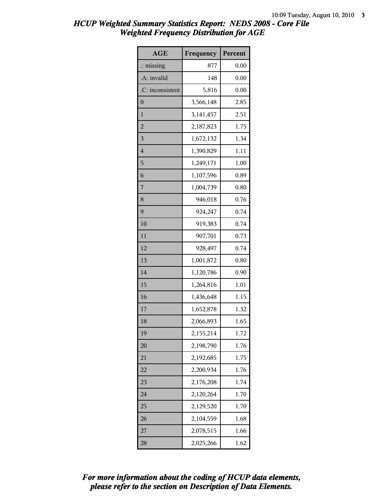| AGE                  | Frequency | Percent |
|----------------------|-----------|---------|
| $\therefore$ missing | 877       | 0.00    |
| .A: invalid          | 148       | 0.00    |
| .C: inconsistent     | 5,816     | 0.00    |
| $\boldsymbol{0}$     | 3,566,148 | 2.85    |
| $\mathbf{1}$         | 3,141,457 | 2.51    |
| $\overline{2}$       | 2,187,823 | 1.75    |
| 3                    | 1,672,132 | 1.34    |
| $\overline{4}$       | 1,390,829 | 1.11    |
| 5                    | 1,249,171 | 1.00    |
| 6                    | 1,107,596 | 0.89    |
| 7                    | 1,004,739 | 0.80    |
| 8                    | 946,018   | 0.76    |
| 9                    | 924,247   | 0.74    |
| 10                   | 919,383   | 0.74    |
| 11                   | 907,701   | 0.73    |
| 12                   | 928,497   | 0.74    |
| 13                   | 1,001,872 | 0.80    |
| 14                   | 1,120,786 | 0.90    |
| 15                   | 1,264,816 | 1.01    |
| 16                   | 1,436,648 | 1.15    |
| 17                   | 1,652,878 | 1.32    |
| 18                   | 2,066,893 | 1.65    |
| 19                   | 2,155,214 | 1.72    |
| 20                   | 2,198,790 | 1.76    |
| 21                   | 2,192,685 | 1.75    |
| 22                   | 2,200,934 | 1.76    |
| 23                   | 2,176,208 | 1.74    |
| 24                   | 2,120,264 | 1.70    |
| 25                   | 2,129,520 | 1.70    |
| 26                   | 2,104,559 | 1.68    |
| 27                   | 2,078,515 | 1.66    |
| 28                   | 2,025,266 | 1.62    |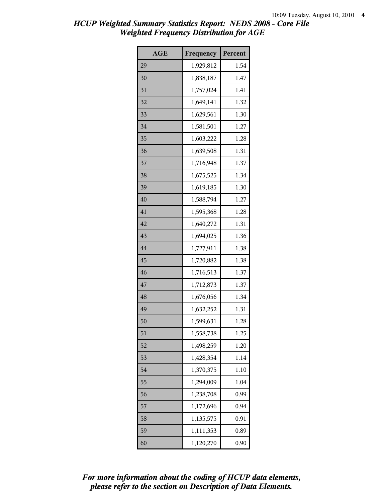| <b>AGE</b> | Frequency | Percent |
|------------|-----------|---------|
| 29         | 1,929,812 | 1.54    |
| 30         | 1,838,187 | 1.47    |
| 31         | 1,757,024 | 1.41    |
| 32         | 1,649,141 | 1.32    |
| 33         | 1,629,561 | 1.30    |
| 34         | 1,581,501 | 1.27    |
| 35         | 1,603,222 | 1.28    |
| 36         | 1,639,508 | 1.31    |
| 37         | 1,716,948 | 1.37    |
| 38         | 1,675,525 | 1.34    |
| 39         | 1,619,185 | 1.30    |
| 40         | 1,588,794 | 1.27    |
| 41         | 1,595,368 | 1.28    |
| 42         | 1,640,272 | 1.31    |
| 43         | 1,694,025 | 1.36    |
| 44         | 1,727,911 | 1.38    |
| 45         | 1,720,882 | 1.38    |
| 46         | 1,716,513 | 1.37    |
| 47         | 1,712,873 | 1.37    |
| 48         | 1,676,056 | 1.34    |
| 49         | 1,632,252 | 1.31    |
| 50         | 1,599,631 | 1.28    |
| 51         | 1,558,738 | 1.25    |
| 52         | 1,498,259 | 1.20    |
| 53         | 1,428,354 | 1.14    |
| 54         | 1,370,375 | 1.10    |
| 55         | 1,294,009 | 1.04    |
| 56         | 1,238,708 | 0.99    |
| 57         | 1,172,696 | 0.94    |
| 58         | 1,135,575 | 0.91    |
| 59         | 1,111,353 | 0.89    |
| 60         | 1,120,270 | 0.90    |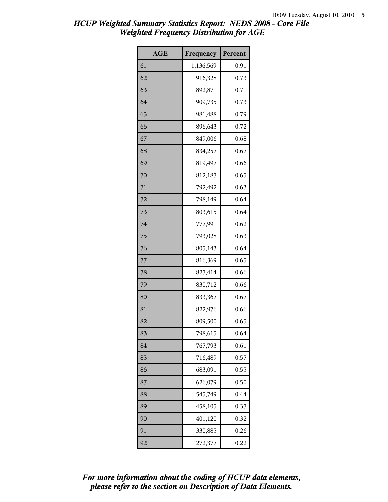| <b>AGE</b> | Frequency | Percent |
|------------|-----------|---------|
| 61         | 1,136,569 | 0.91    |
| 62         | 916,328   | 0.73    |
| 63         | 892,871   | 0.71    |
| 64         | 909,735   | 0.73    |
| 65         | 981,488   | 0.79    |
| 66         | 896,643   | 0.72    |
| 67         | 849,006   | 0.68    |
| 68         | 834,257   | 0.67    |
| 69         | 819,497   | 0.66    |
| 70         | 812,187   | 0.65    |
| 71         | 792,492   | 0.63    |
| 72         | 798,149   | 0.64    |
| 73         | 803,615   | 0.64    |
| 74         | 777,991   | 0.62    |
| 75         | 793,028   | 0.63    |
| 76         | 805,143   | 0.64    |
| 77         | 816,369   | 0.65    |
| 78         | 827,414   | 0.66    |
| 79         | 830,712   | 0.66    |
| 80         | 833,367   | 0.67    |
| 81         | 822,976   | 0.66    |
| 82         | 809,500   | 0.65    |
| 83         | 798,615   | 0.64    |
| 84         | 767,793   | 0.61    |
| 85         | 716,489   | 0.57    |
| 86         | 683,091   | 0.55    |
| 87         | 626,079   | 0.50    |
| 88         | 545,749   | 0.44    |
| 89         | 458,105   | 0.37    |
| 90         | 401,120   | 0.32    |
| 91         | 330,885   | 0.26    |
| 92         | 272,377   | 0.22    |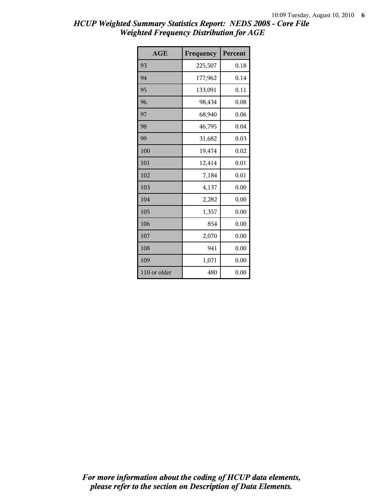| AGE          | Frequency | Percent |
|--------------|-----------|---------|
| 93           | 225,507   | 0.18    |
| 94           | 177,962   | 0.14    |
| 95           | 133,091   | 0.11    |
| 96           | 98,434    | 0.08    |
| 97           | 68,940    | 0.06    |
| 98           | 46,795    | 0.04    |
| 99           | 31,682    | 0.03    |
| 100          | 19,474    | 0.02    |
| 101          | 12,414    | 0.01    |
| 102          | 7,184     | 0.01    |
| 103          | 4,137     | 0.00    |
| 104          | 2,282     | 0.00    |
| 105          | 1,357     | 0.00    |
| 106          | 854       | 0.00    |
| 107          | 2,070     | 0.00    |
| 108          | 941       | 0.00    |
| 109          | 1,071     | 0.00    |
| 110 or older | 480       | 0.00    |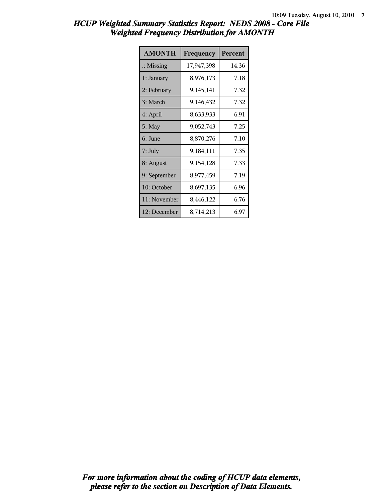| <b>AMONTH</b>        | Frequency  | Percent |
|----------------------|------------|---------|
| $\therefore$ Missing | 17,947,398 | 14.36   |
| 1: January           | 8,976,173  | 7.18    |
| 2: February          | 9,145,141  | 7.32    |
| 3: March             | 9,146,432  | 7.32    |
| 4: April             | 8,633,933  | 6.91    |
| $5:$ May             | 9,052,743  | 7.25    |
| 6: June              | 8,870,276  | 7.10    |
| 7: July              | 9,184,111  | 7.35    |
| 8: August            | 9,154,128  | 7.33    |
| 9: September         | 8,977,459  | 7.19    |
| 10: October          | 8,697,135  | 6.96    |
| 11: November         | 8,446,122  | 6.76    |
| 12: December         | 8,714,213  | 6.97    |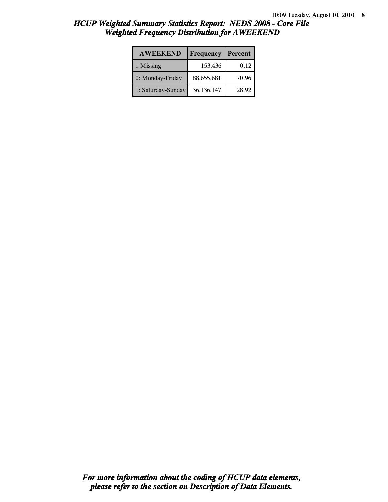| <b>AWEEKEND</b>      | Frequency  | Percent |  |
|----------------------|------------|---------|--|
| $\therefore$ Missing | 153,436    | 0.12    |  |
| 0: Monday-Friday     | 88,655,681 | 70.96   |  |
| 1: Saturday-Sunday   | 36,136,147 | 28.92   |  |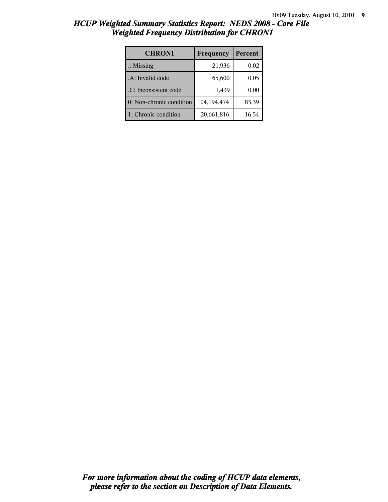| <b>CHRON1</b>            | Frequency   | Percent  |
|--------------------------|-------------|----------|
| $\therefore$ Missing     | 21,936      | $0.02\,$ |
| .A: Invalid code         | 65,600      | 0.05     |
| .C: Inconsistent code    | 1,439       | $0.00\,$ |
| 0: Non-chronic condition | 104,194,474 | 83.39    |
| 1: Chronic condition     | 20,661,816  | 16.54    |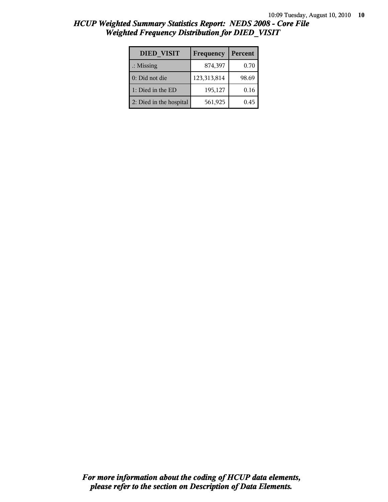| <b>DIED VISIT</b>       | Frequency   | Percent |
|-------------------------|-------------|---------|
| $\therefore$ Missing    | 874,397     | 0.70    |
| 0: Did not die          | 123,313,814 | 98.69   |
| 1: Died in the ED       | 195,127     | 0.16    |
| 2: Died in the hospital | 561,925     | 0.45    |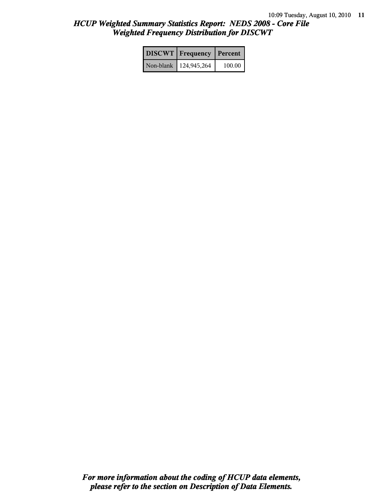| <b>DISCWT</b>   Frequency | Percent |
|---------------------------|---------|
| Non-blank   124,945,264   | 100.00  |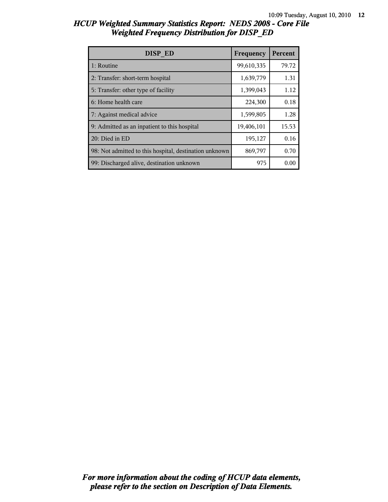| DISP ED                                                | Frequency  | Percent |
|--------------------------------------------------------|------------|---------|
| 1: Routine                                             | 99,610,335 | 79.72   |
| 2: Transfer: short-term hospital                       | 1,639,779  | 1.31    |
| 5: Transfer: other type of facility                    | 1,399,043  | 1.12    |
| 6: Home health care                                    | 224,300    | 0.18    |
| 7: Against medical advice                              | 1,599,805  | 1.28    |
| 9: Admitted as an inpatient to this hospital           | 19,406,101 | 15.53   |
| 20: Died in ED                                         | 195,127    | 0.16    |
| 98: Not admitted to this hospital, destination unknown | 869,797    | 0.70    |
| 99: Discharged alive, destination unknown              | 975        | 0.00    |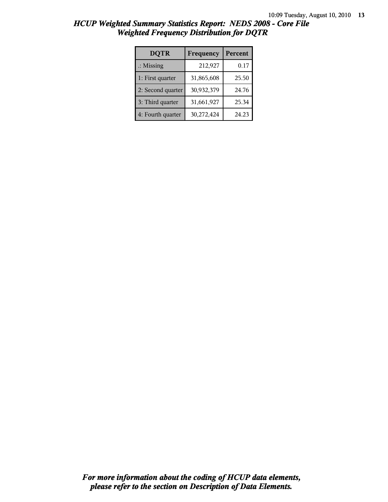| <b>DQTR</b>          | Frequency  | Percent    |
|----------------------|------------|------------|
| $\therefore$ Missing | 212,927    | $\rm 0.17$ |
| 1: First quarter     | 31,865,608 | 25.50      |
| 2: Second quarter    | 30,932,379 | 24.76      |
| 3: Third quarter     | 31,661,927 | 25.34      |
| 4: Fourth quarter    | 30,272,424 | 24.23      |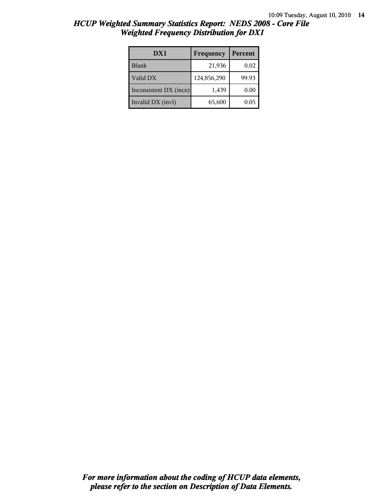|  | <b>HCUP Weighted Summary Statistics Report: NEDS 2008 - Core File</b> |  |
|--|-----------------------------------------------------------------------|--|
|  | <b>Weighted Frequency Distribution for DX1</b>                        |  |
|  |                                                                       |  |

| DX1                    | Frequency   | Percent |
|------------------------|-------------|---------|
| <b>Blank</b>           | 21,936      | 0.02    |
| Valid DX               | 124,856,290 | 99.93   |
| Inconsistent DX (incn) | 1,439       | 0.00    |
| Invalid DX (invl)      | 65,600      | 0.05    |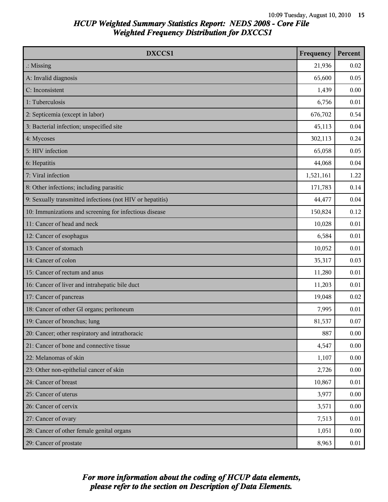| DXCCS1                                                    | Frequency | Percent |
|-----------------------------------------------------------|-----------|---------|
| $\therefore$ Missing                                      | 21,936    | 0.02    |
| A: Invalid diagnosis                                      | 65,600    | 0.05    |
| C: Inconsistent                                           | 1,439     | 0.00    |
| 1: Tuberculosis                                           | 6,756     | 0.01    |
| 2: Septicemia (except in labor)                           | 676,702   | 0.54    |
| 3: Bacterial infection; unspecified site                  | 45,113    | 0.04    |
| 4: Mycoses                                                | 302,113   | 0.24    |
| 5: HIV infection                                          | 65,058    | 0.05    |
| 6: Hepatitis                                              | 44,068    | 0.04    |
| 7: Viral infection                                        | 1,521,161 | 1.22    |
| 8: Other infections; including parasitic                  | 171,783   | 0.14    |
| 9: Sexually transmitted infections (not HIV or hepatitis) | 44,477    | 0.04    |
| 10: Immunizations and screening for infectious disease    | 150,824   | 0.12    |
| 11: Cancer of head and neck                               | 10,028    | 0.01    |
| 12: Cancer of esophagus                                   | 6,584     | 0.01    |
| 13: Cancer of stomach                                     | 10,052    | 0.01    |
| 14: Cancer of colon                                       | 35,317    | 0.03    |
| 15: Cancer of rectum and anus                             | 11,280    | 0.01    |
| 16: Cancer of liver and intrahepatic bile duct            | 11,203    | 0.01    |
| 17: Cancer of pancreas                                    | 19,048    | 0.02    |
| 18: Cancer of other GI organs; peritoneum                 | 7,995     | 0.01    |
| 19: Cancer of bronchus; lung                              | 81,537    | 0.07    |
| 20: Cancer; other respiratory and intrathoracic           | 887       | 0.00    |
| 21: Cancer of bone and connective tissue                  | 4,547     | 0.00    |
| 22: Melanomas of skin                                     | 1,107     | 0.00    |
| 23: Other non-epithelial cancer of skin                   | 2,726     | 0.00    |
| 24: Cancer of breast                                      | 10,867    | 0.01    |
| 25: Cancer of uterus                                      | 3,977     | 0.00    |
| 26: Cancer of cervix                                      | 3,571     | 0.00    |
| 27: Cancer of ovary                                       | 7,513     | 0.01    |
| 28: Cancer of other female genital organs                 | 1,051     | 0.00    |
| 29: Cancer of prostate                                    | 8,963     | 0.01    |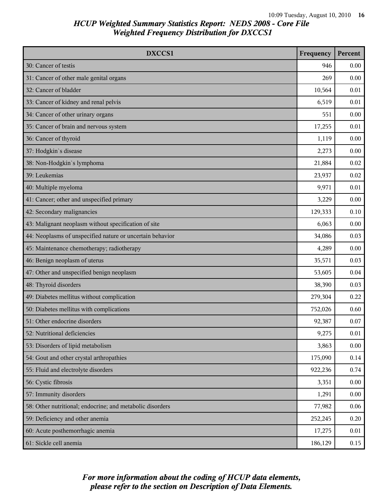| DXCCS1                                                    | Frequency | Percent |
|-----------------------------------------------------------|-----------|---------|
| 30: Cancer of testis                                      | 946       | 0.00    |
| 31: Cancer of other male genital organs                   | 269       | 0.00    |
| 32: Cancer of bladder                                     | 10,564    | 0.01    |
| 33: Cancer of kidney and renal pelvis                     | 6,519     | 0.01    |
| 34: Cancer of other urinary organs                        | 551       | 0.00    |
| 35: Cancer of brain and nervous system                    | 17,255    | 0.01    |
| 36: Cancer of thyroid                                     | 1,119     | 0.00    |
| 37: Hodgkin's disease                                     | 2,273     | 0.00    |
| 38: Non-Hodgkin's lymphoma                                | 21,884    | 0.02    |
| 39: Leukemias                                             | 23,937    | 0.02    |
| 40: Multiple myeloma                                      | 9,971     | 0.01    |
| 41: Cancer; other and unspecified primary                 | 3,229     | 0.00    |
| 42: Secondary malignancies                                | 129,333   | 0.10    |
| 43: Malignant neoplasm without specification of site      | 6,063     | 0.00    |
| 44: Neoplasms of unspecified nature or uncertain behavior | 34,086    | 0.03    |
| 45: Maintenance chemotherapy; radiotherapy                | 4,289     | 0.00    |
| 46: Benign neoplasm of uterus                             | 35,571    | 0.03    |
| 47: Other and unspecified benign neoplasm                 | 53,605    | 0.04    |
| 48: Thyroid disorders                                     | 38,390    | 0.03    |
| 49: Diabetes mellitus without complication                | 279,304   | 0.22    |
| 50: Diabetes mellitus with complications                  | 752,026   | 0.60    |
| 51: Other endocrine disorders                             | 92,387    | 0.07    |
| 52: Nutritional deficiencies                              | 9,275     | 0.01    |
| 53: Disorders of lipid metabolism                         | 3,863     | 0.00    |
| 54: Gout and other crystal arthropathies                  | 175,090   | 0.14    |
| 55: Fluid and electrolyte disorders                       | 922,236   | 0.74    |
| 56: Cystic fibrosis                                       | 3,351     | 0.00    |
| 57: Immunity disorders                                    | 1,291     | 0.00    |
| 58: Other nutritional; endocrine; and metabolic disorders | 77,982    | 0.06    |
| 59: Deficiency and other anemia                           | 252,245   | 0.20    |
| 60: Acute posthemorrhagic anemia                          | 17,275    | 0.01    |
| 61: Sickle cell anemia                                    | 186,129   | 0.15    |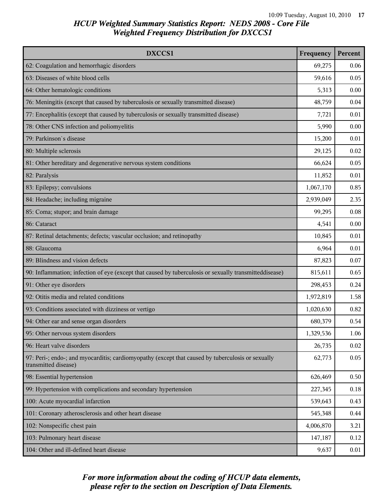| DXCCS1                                                                                                                    | Frequency | Percent |
|---------------------------------------------------------------------------------------------------------------------------|-----------|---------|
| 62: Coagulation and hemorrhagic disorders                                                                                 | 69,275    | 0.06    |
| 63: Diseases of white blood cells                                                                                         | 59,616    | 0.05    |
| 64: Other hematologic conditions                                                                                          | 5,313     | 0.00    |
| 76: Meningitis (except that caused by tuberculosis or sexually transmitted disease)                                       | 48,759    | 0.04    |
| 77: Encephalitis (except that caused by tuberculosis or sexually transmitted disease)                                     | 7,721     | 0.01    |
| 78: Other CNS infection and poliomyelitis                                                                                 | 5,990     | 0.00    |
| 79: Parkinson's disease                                                                                                   | 15,200    | 0.01    |
| 80: Multiple sclerosis                                                                                                    | 29,125    | 0.02    |
| 81: Other hereditary and degenerative nervous system conditions                                                           | 66,624    | 0.05    |
| 82: Paralysis                                                                                                             | 11,852    | 0.01    |
| 83: Epilepsy; convulsions                                                                                                 | 1,067,170 | 0.85    |
| 84: Headache; including migraine                                                                                          | 2,939,049 | 2.35    |
| 85: Coma; stupor; and brain damage                                                                                        | 99,295    | 0.08    |
| 86: Cataract                                                                                                              | 4,541     | 0.00    |
| 87: Retinal detachments; defects; vascular occlusion; and retinopathy                                                     | 10,845    | 0.01    |
| 88: Glaucoma                                                                                                              | 6,964     | 0.01    |
| 89: Blindness and vision defects                                                                                          | 87,823    | 0.07    |
| 90: Inflammation; infection of eye (except that caused by tuberculosis or sexually transmitteddisease)                    | 815,611   | 0.65    |
| 91: Other eye disorders                                                                                                   | 298,453   | 0.24    |
| 92: Otitis media and related conditions                                                                                   | 1,972,819 | 1.58    |
| 93: Conditions associated with dizziness or vertigo                                                                       | 1,020,630 | 0.82    |
| 94: Other ear and sense organ disorders                                                                                   | 680,379   | 0.54    |
| 95: Other nervous system disorders                                                                                        | 1,329,536 | 1.06    |
| 96: Heart valve disorders                                                                                                 | 26,735    | 0.02    |
| 97: Peri-; endo-; and myocarditis; cardiomyopathy (except that caused by tuberculosis or sexually<br>transmitted disease) | 62,773    | 0.05    |
| 98: Essential hypertension                                                                                                | 626,469   | 0.50    |
| 99: Hypertension with complications and secondary hypertension                                                            | 227,345   | 0.18    |
| 100: Acute myocardial infarction                                                                                          | 539,643   | 0.43    |
| 101: Coronary atherosclerosis and other heart disease                                                                     | 545,348   | 0.44    |
| 102: Nonspecific chest pain                                                                                               | 4,006,870 | 3.21    |
| 103: Pulmonary heart disease                                                                                              | 147,187   | 0.12    |
| 104: Other and ill-defined heart disease                                                                                  | 9,637     | 0.01    |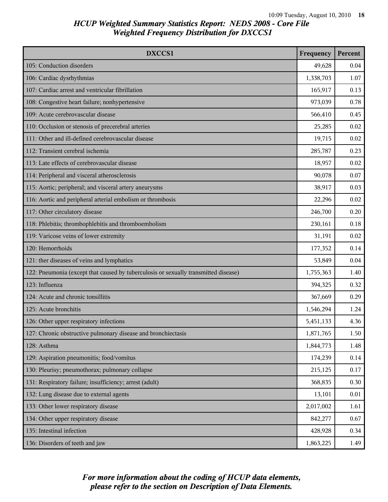| DXCCS1                                                                              | Frequency | Percent |
|-------------------------------------------------------------------------------------|-----------|---------|
| 105: Conduction disorders                                                           | 49,628    | 0.04    |
| 106: Cardiac dysrhythmias                                                           | 1,338,703 | 1.07    |
| 107: Cardiac arrest and ventricular fibrillation                                    | 165,917   | 0.13    |
| 108: Congestive heart failure; nonhypertensive                                      | 973,039   | 0.78    |
| 109: Acute cerebrovascular disease                                                  | 566,410   | 0.45    |
| 110: Occlusion or stenosis of precerebral arteries                                  | 25,285    | 0.02    |
| 111: Other and ill-defined cerebrovascular disease                                  | 19,715    | 0.02    |
| 112: Transient cerebral ischemia                                                    | 285,787   | 0.23    |
| 113: Late effects of cerebrovascular disease                                        | 18,957    | 0.02    |
| 114: Peripheral and visceral atherosclerosis                                        | 90,078    | 0.07    |
| 115: Aortic; peripheral; and visceral artery aneurysms                              | 38,917    | 0.03    |
| 116: Aortic and peripheral arterial embolism or thrombosis                          | 22,296    | 0.02    |
| 117: Other circulatory disease                                                      | 246,700   | 0.20    |
| 118: Phlebitis; thrombophlebitis and thromboembolism                                | 230,161   | 0.18    |
| 119: Varicose veins of lower extremity                                              | 31,191    | 0.02    |
| 120: Hemorrhoids                                                                    | 177,352   | 0.14    |
| 121: ther diseases of veins and lymphatics                                          | 53,849    | 0.04    |
| 122: Pneumonia (except that caused by tuberculosis or sexually transmitted disease) | 1,755,363 | 1.40    |
| 123: Influenza                                                                      | 394,325   | 0.32    |
| 124: Acute and chronic tonsillitis                                                  | 367,669   | 0.29    |
| 125: Acute bronchitis                                                               | 1,546,294 | 1.24    |
| 126: Other upper respiratory infections                                             | 5,451,133 | 4.36    |
| 127: Chronic obstructive pulmonary disease and bronchiectasis                       | 1,871,765 | 1.50    |
| 128: Asthma                                                                         | 1,844,773 | 1.48    |
| 129: Aspiration pneumonitis; food/vomitus                                           | 174,239   | 0.14    |
| 130: Pleurisy; pneumothorax; pulmonary collapse                                     | 215,125   | 0.17    |
| 131: Respiratory failure; insufficiency; arrest (adult)                             | 368,835   | 0.30    |
| 132: Lung disease due to external agents                                            | 13,101    | 0.01    |
| 133: Other lower respiratory disease                                                | 2,017,002 | 1.61    |
| 134: Other upper respiratory disease                                                | 842,277   | 0.67    |
| 135: Intestinal infection                                                           | 428,928   | 0.34    |
| 136: Disorders of teeth and jaw                                                     | 1,863,225 | 1.49    |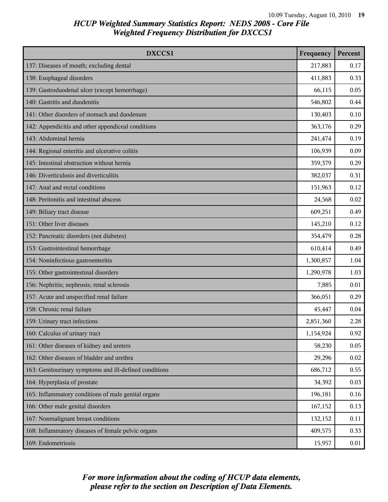| DXCCS1                                                 | Frequency | Percent |
|--------------------------------------------------------|-----------|---------|
| 137: Diseases of mouth; excluding dental               | 217,883   | 0.17    |
| 138: Esophageal disorders                              | 411,883   | 0.33    |
| 139: Gastroduodenal ulcer (except hemorrhage)          | 66,115    | 0.05    |
| 140: Gastritis and duodenitis                          | 546,802   | 0.44    |
| 141: Other disorders of stomach and duodenum           | 130,403   | 0.10    |
| 142: Appendicitis and other appendiceal conditions     | 363,176   | 0.29    |
| 143: Abdominal hernia                                  | 241,474   | 0.19    |
| 144: Regional enteritis and ulcerative colitis         | 106,939   | 0.09    |
| 145: Intestinal obstruction without hernia             | 359,379   | 0.29    |
| 146: Diverticulosis and diverticulitis                 | 382,037   | 0.31    |
| 147: Anal and rectal conditions                        | 151,963   | 0.12    |
| 148: Peritonitis and intestinal abscess                | 24,568    | 0.02    |
| 149: Biliary tract disease                             | 609,251   | 0.49    |
| 151: Other liver diseases                              | 145,210   | 0.12    |
| 152: Pancreatic disorders (not diabetes)               | 354,479   | 0.28    |
| 153: Gastrointestinal hemorrhage                       | 610,414   | 0.49    |
| 154: Noninfectious gastroenteritis                     | 1,300,857 | 1.04    |
| 155: Other gastrointestinal disorders                  | 1,290,978 | 1.03    |
| 156: Nephritis; nephrosis; renal sclerosis             | 7,885     | 0.01    |
| 157: Acute and unspecified renal failure               | 366,051   | 0.29    |
| 158: Chronic renal failure                             | 45,447    | 0.04    |
| 159: Urinary tract infections                          | 2,851,360 | 2.28    |
| 160: Calculus of urinary tract                         | 1,154,924 | 0.92    |
| 161: Other diseases of kidney and ureters              | 58,230    | 0.05    |
| 162: Other diseases of bladder and urethra             | 29,296    | 0.02    |
| 163: Genitourinary symptoms and ill-defined conditions | 686,712   | 0.55    |
| 164: Hyperplasia of prostate                           | 34,392    | 0.03    |
| 165: Inflammatory conditions of male genital organs    | 196,181   | 0.16    |
| 166: Other male genital disorders                      | 167,152   | 0.13    |
| 167: Nonmalignant breast conditions                    | 132,152   | 0.11    |
| 168: Inflammatory diseases of female pelvic organs     | 409,575   | 0.33    |
| 169: Endometriosis                                     | 15,957    | 0.01    |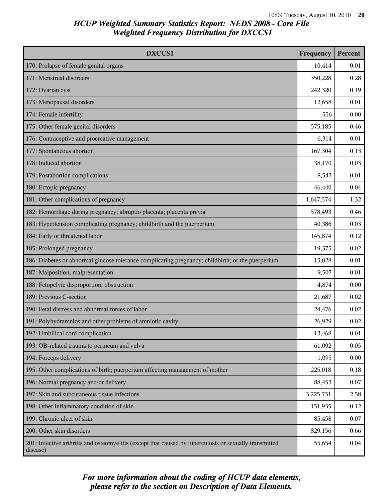| DXCCS1                                                                                                             | Frequency | Percent |
|--------------------------------------------------------------------------------------------------------------------|-----------|---------|
| 170: Prolapse of female genital organs                                                                             | 10,414    | 0.01    |
| 171: Menstrual disorders                                                                                           | 350,228   | 0.28    |
| 172: Ovarian cyst                                                                                                  | 242,320   | 0.19    |
| 173: Menopausal disorders                                                                                          | 12,658    | 0.01    |
| 174: Female infertility                                                                                            | 556       | 0.00    |
| 175: Other female genital disorders                                                                                | 575,185   | 0.46    |
| 176: Contraceptive and procreative management                                                                      | 6,314     | 0.01    |
| 177: Spontaneous abortion                                                                                          | 167,304   | 0.13    |
| 178: Induced abortion                                                                                              | 38,170    | 0.03    |
| 179: Postabortion complications                                                                                    | 8,543     | 0.01    |
| 180: Ectopic pregnancy                                                                                             | 46,440    | 0.04    |
| 181: Other complications of pregnancy                                                                              | 1,647,574 | 1.32    |
| 182: Hemorrhage during pregnancy; abruptio placenta; placenta previa                                               | 578,493   | 0.46    |
| 183: Hypertension complicating pregnancy; childbirth and the puerperium                                            | 40,386    | 0.03    |
| 184: Early or threatened labor                                                                                     | 145,874   | 0.12    |
| 185: Prolonged pregnancy                                                                                           | 19,375    | 0.02    |
| 186: Diabetes or abnormal glucose tolerance complicating pregnancy; childbirth; or the puerperium                  | 15,028    | 0.01    |
| 187: Malposition; malpresentation                                                                                  | 9,507     | 0.01    |
| 188: Fetopelvic disproportion; obstruction                                                                         | 4,874     | 0.00    |
| 189: Previous C-section                                                                                            | 21,687    | 0.02    |
| 190: Fetal distress and abnormal forces of labor                                                                   | 24,476    | 0.02    |
| 191: Polyhydramnios and other problems of amniotic cavity                                                          | 26,929    | 0.02    |
| 192: Umbilical cord complication                                                                                   | 13,468    | 0.01    |
| 193: OB-related trauma to perineum and vulva                                                                       | 61,092    | 0.05    |
| 194: Forceps delivery                                                                                              | 1,095     | 0.00    |
| 195: Other complications of birth; puerperium affecting management of mother                                       | 225,018   | 0.18    |
| 196: Normal pregnancy and/or delivery                                                                              | 88,453    | 0.07    |
| 197: Skin and subcutaneous tissue infections                                                                       | 3,225,731 | 2.58    |
| 198: Other inflammatory condition of skin                                                                          | 151,935   | 0.12    |
| 199: Chronic ulcer of skin                                                                                         | 85,458    | 0.07    |
| 200: Other skin disorders                                                                                          | 829,156   | 0.66    |
| 201: Infective arthritis and osteomyelitis (except that caused by tuberculosis or sexually transmitted<br>disease) | 55,654    | 0.04    |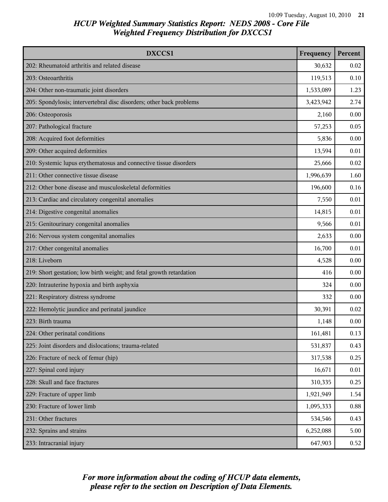| DXCCS1                                                               | Frequency | Percent |
|----------------------------------------------------------------------|-----------|---------|
| 202: Rheumatoid arthritis and related disease                        | 30,632    | 0.02    |
| 203: Osteoarthritis                                                  | 119,513   | 0.10    |
| 204: Other non-traumatic joint disorders                             | 1,533,089 | 1.23    |
| 205: Spondylosis; intervertebral disc disorders; other back problems | 3,423,942 | 2.74    |
| 206: Osteoporosis                                                    | 2,160     | 0.00    |
| 207: Pathological fracture                                           | 57,253    | 0.05    |
| 208: Acquired foot deformities                                       | 5,836     | 0.00    |
| 209: Other acquired deformities                                      | 13,594    | 0.01    |
| 210: Systemic lupus erythematosus and connective tissue disorders    | 25,666    | 0.02    |
| 211: Other connective tissue disease                                 | 1,996,639 | 1.60    |
| 212: Other bone disease and musculoskeletal deformities              | 196,600   | 0.16    |
| 213: Cardiac and circulatory congenital anomalies                    | 7,550     | 0.01    |
| 214: Digestive congenital anomalies                                  | 14,815    | 0.01    |
| 215: Genitourinary congenital anomalies                              | 9,566     | 0.01    |
| 216: Nervous system congenital anomalies                             | 2,633     | 0.00    |
| 217: Other congenital anomalies                                      | 16,700    | 0.01    |
| 218: Liveborn                                                        | 4,528     | 0.00    |
| 219: Short gestation; low birth weight; and fetal growth retardation | 416       | 0.00    |
| 220: Intrauterine hypoxia and birth asphyxia                         | 324       | 0.00    |
| 221: Respiratory distress syndrome                                   | 332       | 0.00    |
| 222: Hemolytic jaundice and perinatal jaundice                       | 30,391    | 0.02    |
| 223: Birth trauma                                                    | 1,148     | 0.00    |
| 224: Other perinatal conditions                                      | 161,481   | 0.13    |
| 225: Joint disorders and dislocations; trauma-related                | 531,837   | 0.43    |
| 226: Fracture of neck of femur (hip)                                 | 317,538   | 0.25    |
| 227: Spinal cord injury                                              | 16,671    | 0.01    |
| 228: Skull and face fractures                                        | 310,335   | 0.25    |
| 229: Fracture of upper limb                                          | 1,921,949 | 1.54    |
| 230: Fracture of lower limb                                          | 1,095,333 | 0.88    |
| 231: Other fractures                                                 | 534,546   | 0.43    |
| 232: Sprains and strains                                             | 6,252,088 | 5.00    |
| 233: Intracranial injury                                             | 647,903   | 0.52    |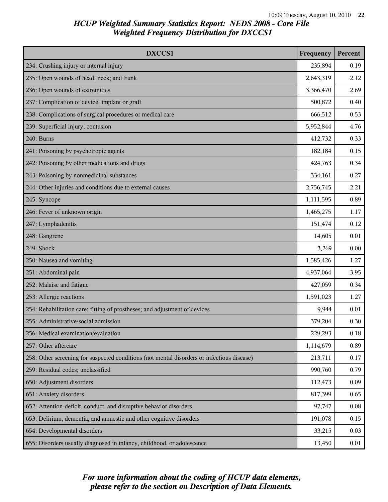| DXCCS1                                                                                     | Frequency | Percent  |
|--------------------------------------------------------------------------------------------|-----------|----------|
| 234: Crushing injury or internal injury                                                    | 235,894   | 0.19     |
| 235: Open wounds of head; neck; and trunk                                                  | 2,643,319 | 2.12     |
| 236: Open wounds of extremities                                                            | 3,366,470 | 2.69     |
| 237: Complication of device; implant or graft                                              | 500,872   | 0.40     |
| 238: Complications of surgical procedures or medical care                                  | 666,512   | 0.53     |
| 239: Superficial injury; contusion                                                         | 5,952,844 | 4.76     |
| 240: Burns                                                                                 | 412,732   | 0.33     |
| 241: Poisoning by psychotropic agents                                                      | 182,184   | 0.15     |
| 242: Poisoning by other medications and drugs                                              | 424,763   | 0.34     |
| 243: Poisoning by nonmedicinal substances                                                  | 334,161   | 0.27     |
| 244: Other injuries and conditions due to external causes                                  | 2,756,745 | 2.21     |
| 245: Syncope                                                                               | 1,111,595 | 0.89     |
| 246: Fever of unknown origin                                                               | 1,465,275 | 1.17     |
| 247: Lymphadenitis                                                                         | 151,474   | 0.12     |
| 248: Gangrene                                                                              | 14,605    | 0.01     |
| 249: Shock                                                                                 | 3,269     | 0.00     |
| 250: Nausea and vomiting                                                                   | 1,585,426 | 1.27     |
| 251: Abdominal pain                                                                        | 4,937,064 | 3.95     |
| 252: Malaise and fatigue                                                                   | 427,059   | 0.34     |
| 253: Allergic reactions                                                                    | 1,591,023 | 1.27     |
| 254: Rehabilitation care; fitting of prostheses; and adjustment of devices                 | 9,944     | 0.01     |
| 255: Administrative/social admission                                                       | 379,204   | 0.30     |
| 256: Medical examination/evaluation                                                        | 229,293   | $0.18\,$ |
| 257: Other aftercare                                                                       | 1,114,679 | 0.89     |
| 258: Other screening for suspected conditions (not mental disorders or infectious disease) | 213,711   | 0.17     |
| 259: Residual codes; unclassified                                                          | 990,760   | 0.79     |
| 650: Adjustment disorders                                                                  | 112,473   | 0.09     |
| 651: Anxiety disorders                                                                     | 817,399   | 0.65     |
| 652: Attention-deficit, conduct, and disruptive behavior disorders                         | 97,747    | 0.08     |
| 653: Delirium, dementia, and amnestic and other cognitive disorders                        | 191,078   | 0.15     |
| 654: Developmental disorders                                                               | 33,215    | 0.03     |
| 655: Disorders usually diagnosed in infancy, childhood, or adolescence                     | 13,450    | 0.01     |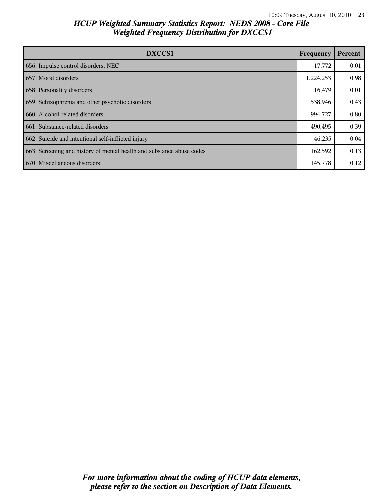| DXCCS1                                                                | Frequency | Percent |
|-----------------------------------------------------------------------|-----------|---------|
| 656: Impulse control disorders, NEC                                   | 17,772    | 0.01    |
| 657: Mood disorders                                                   | 1,224,253 | 0.98    |
| 658: Personality disorders                                            | 16,479    | 0.01    |
| 659: Schizophrenia and other psychotic disorders                      | 538,946   | 0.43    |
| 660: Alcohol-related disorders                                        | 994,727   | 0.80    |
| 661: Substance-related disorders                                      | 490,495   | 0.39    |
| 662: Suicide and intentional self-inflicted injury                    | 46,235    | 0.04    |
| 663: Screening and history of mental health and substance abuse codes | 162,592   | 0.13    |
| 670: Miscellaneous disorders                                          | 145,778   | 0.12    |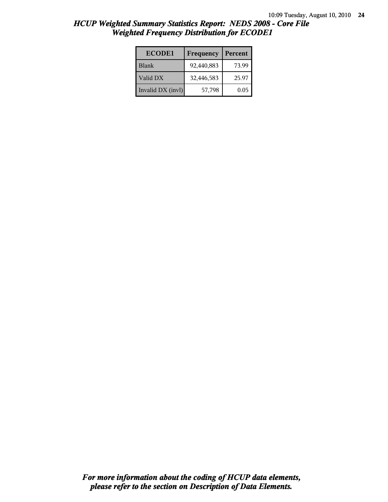| <b>ECODE1</b>     | Frequency  | Percent |
|-------------------|------------|---------|
| <b>Blank</b>      | 92,440,883 | 73.99   |
| Valid DX          | 32,446,583 | 25.97   |
| Invalid DX (invl) | 57,798     | 0.05    |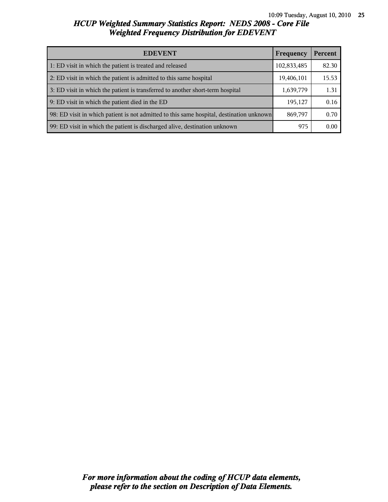| <b>EDEVENT</b>                                                                           | Frequency   | Percent |
|------------------------------------------------------------------------------------------|-------------|---------|
| 1: ED visit in which the patient is treated and released                                 | 102,833,485 | 82.30   |
| 2: ED visit in which the patient is admitted to this same hospital                       | 19,406,101  | 15.53   |
| 3: ED visit in which the patient is transferred to another short-term hospital           | 1,639,779   | 1.31    |
| 9: ED visit in which the patient died in the ED                                          | 195,127     | 0.16    |
| 98: ED visit in which patient is not admitted to this same hospital, destination unknown | 869,797     | 0.70    |
| 99: ED visit in which the patient is discharged alive, destination unknown               | 975         | 0.00    |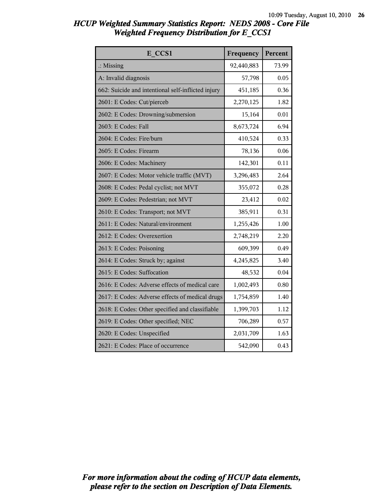| HCUP Weighted Summary Statistics Report: NEDS 2008 - Core File |  |  |
|----------------------------------------------------------------|--|--|
| <b>Weighted Frequency Distribution for E CCS1</b>              |  |  |

| E CCS1                                             | Frequency  | Percent |
|----------------------------------------------------|------------|---------|
| $\therefore$ Missing                               | 92,440,883 | 73.99   |
| A: Invalid diagnosis                               | 57,798     | 0.05    |
| 662: Suicide and intentional self-inflicted injury | 451,185    | 0.36    |
| 2601: E Codes: Cut/pierceb                         | 2,270,125  | 1.82    |
| 2602: E Codes: Drowning/submersion                 | 15,164     | 0.01    |
| 2603: E Codes: Fall                                | 8,673,724  | 6.94    |
| 2604: E Codes: Fire/burn                           | 410,524    | 0.33    |
| 2605: E Codes: Firearm                             | 78,136     | 0.06    |
| 2606: E Codes: Machinery                           | 142,301    | 0.11    |
| 2607: E Codes: Motor vehicle traffic (MVT)         | 3,296,483  | 2.64    |
| 2608: E Codes: Pedal cyclist; not MVT              | 355,072    | 0.28    |
| 2609: E Codes: Pedestrian; not MVT                 | 23,412     | 0.02    |
| 2610: E Codes: Transport; not MVT                  | 385,911    | 0.31    |
| 2611: E Codes: Natural/environment                 | 1,255,426  | 1.00    |
| 2612: E Codes: Overexertion                        | 2,748,219  | 2.20    |
| 2613: E Codes: Poisoning                           | 609,399    | 0.49    |
| 2614: E Codes: Struck by; against                  | 4,245,825  | 3.40    |
| 2615: E Codes: Suffocation                         | 48,532     | 0.04    |
| 2616: E Codes: Adverse effects of medical care     | 1,002,493  | 0.80    |
| 2617: E Codes: Adverse effects of medical drugs    | 1,754,859  | 1.40    |
| 2618: E Codes: Other specified and classifiable    | 1,399,703  | 1.12    |
| 2619: E Codes: Other specified; NEC                | 706,289    | 0.57    |
| 2620: E Codes: Unspecified                         | 2,031,709  | 1.63    |
| 2621: E Codes: Place of occurrence                 | 542,090    | 0.43    |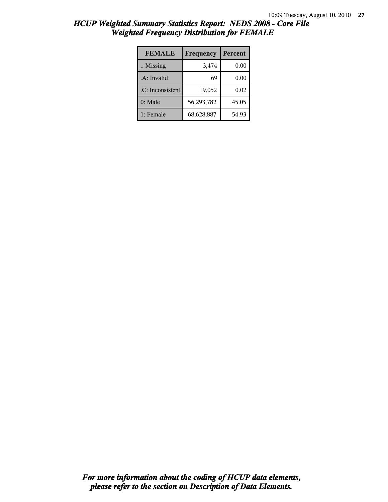| <b>FEMALE</b>        | Frequency  | Percent |
|----------------------|------------|---------|
| $\therefore$ Missing | 3,474      | 0.00    |
| .A: Invalid          | 69         | 0.00    |
| .C: Inconsistent     | 19,052     | 0.02    |
| 0: Male              | 56,293,782 | 45.05   |
| 1: Female            | 68,628,887 | 54.93   |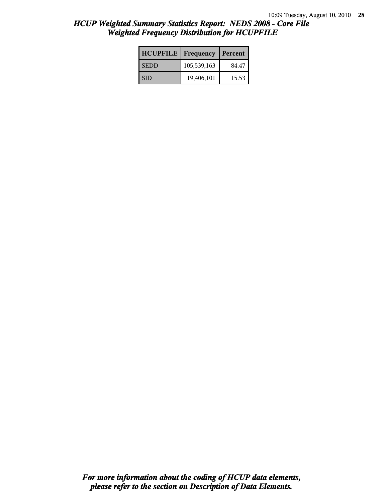| <b>HCUPFILE</b> | <b>Frequency</b> | Percent |
|-----------------|------------------|---------|
| <b>SEDD</b>     | 105,539,163      | 84.47   |
| l SID           | 19,406,101       | 15.53   |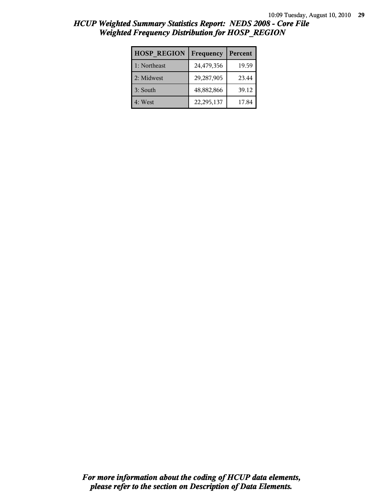| <b>HOSP REGION</b> | Frequency  | Percent |
|--------------------|------------|---------|
| 1: Northeast       | 24,479,356 | 19.59   |
| 2: Midwest         | 29,287,905 | 23.44   |
| 3: South           | 48,882,866 | 39.12   |
| 4: West            | 22,295,137 | 17.84   |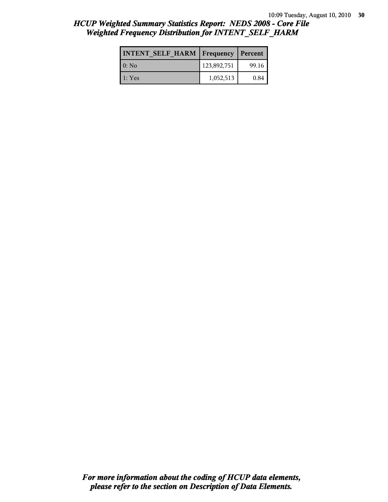| <b>INTENT SELF HARM   Frequency</b> |             | <b>Percent</b> |
|-------------------------------------|-------------|----------------|
| $0:$ No                             | 123,892,751 | 99.16          |
| 1: Yes                              | 1,052,513   | 0.84           |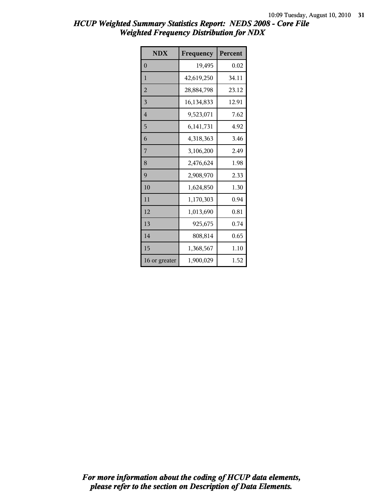| <b>NDX</b>     | Frequency  | Percent |
|----------------|------------|---------|
| $\theta$       | 19,495     | 0.02    |
| $\mathbf{1}$   | 42,619,250 | 34.11   |
| $\overline{2}$ | 28,884,798 | 23.12   |
| 3              | 16,134,833 | 12.91   |
| $\overline{4}$ | 9,523,071  | 7.62    |
| 5              | 6,141,731  | 4.92    |
| 6              | 4,318,363  | 3.46    |
| 7              | 3,106,200  | 2.49    |
| 8              | 2,476,624  | 1.98    |
| 9              | 2,908,970  | 2.33    |
| 10             | 1,624,850  | 1.30    |
| 11             | 1,170,303  | 0.94    |
| 12             | 1,013,690  | 0.81    |
| 13             | 925,675    | 0.74    |
| 14             | 808,814    | 0.65    |
| 15             | 1,368,567  | 1.10    |
| 16 or greater  | 1,900,029  | 1.52    |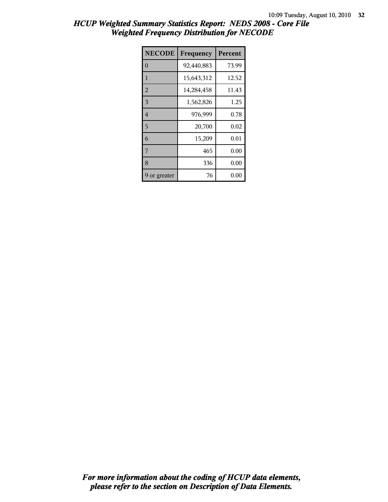| <b>NECODE</b>  | Frequency  | Percent |
|----------------|------------|---------|
| $\theta$       | 92,440,883 | 73.99   |
| 1              | 15,643,312 | 12.52   |
| $\overline{2}$ | 14,284,458 | 11.43   |
| 3              | 1,562,826  | 1.25    |
| $\overline{4}$ | 976,999    | 0.78    |
| 5              | 20,700     | 0.02    |
| 6              | 15,209     | 0.01    |
| 7              | 465        | 0.00    |
| 8              | 336        | 0.00    |
| 9 or greater   | 76         | 0.00    |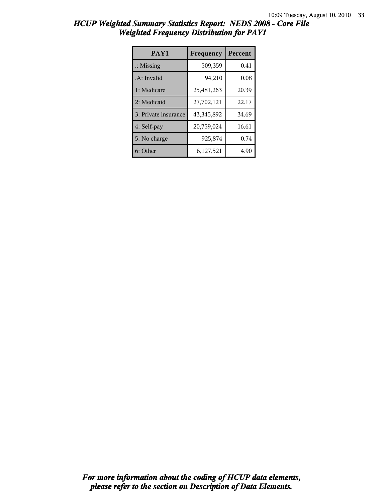| HCUP Weighted Summary Statistics Report: NEDS 2008 - Core File |  |  |  |
|----------------------------------------------------------------|--|--|--|
| <b>Weighted Frequency Distribution for PAY1</b>                |  |  |  |

| PAY1                 | Frequency  | Percent |
|----------------------|------------|---------|
| $\therefore$ Missing | 509,359    | 0.41    |
| .A: Invalid          | 94,210     | 0.08    |
| 1: Medicare          | 25,481,263 | 20.39   |
| 2: Medicaid          | 27,702,121 | 22.17   |
| 3: Private insurance | 43,345,892 | 34.69   |
| 4: Self-pay          | 20,759,024 | 16.61   |
| 5: No charge         | 925,874    | 0.74    |
| 6: Other             | 6,127,521  | 4.90    |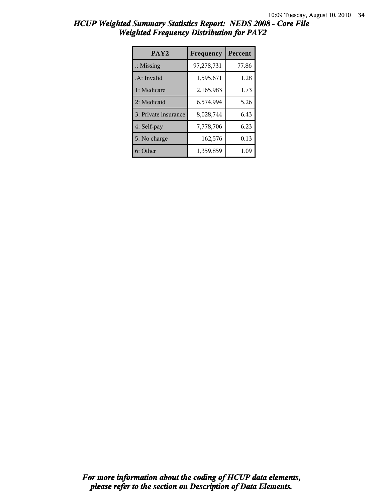| HCUP Weighted Summary Statistics Report: NEDS 2008 - Core File |  |
|----------------------------------------------------------------|--|
| <b>Weighted Frequency Distribution for PAY2</b>                |  |

| PAY <sub>2</sub>     | Frequency  | Percent |
|----------------------|------------|---------|
| $\therefore$ Missing | 97,278,731 | 77.86   |
| .A: Invalid          | 1,595,671  | 1.28    |
| 1: Medicare          | 2,165,983  | 1.73    |
| 2: Medicaid          | 6,574,994  | 5.26    |
| 3: Private insurance | 8,028,744  | 6.43    |
| 4: Self-pay          | 7,778,706  | 6.23    |
| 5: No charge         | 162,576    | 0.13    |
| 6: Other             | 1,359,859  | 1.09    |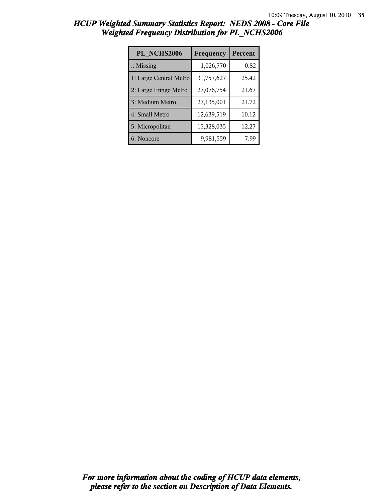| PL NCHS2006            | Frequency  | Percent |
|------------------------|------------|---------|
| $\therefore$ Missing   | 1,026,770  | 0.82    |
| 1: Large Central Metro | 31,757,627 | 25.42   |
| 2: Large Fringe Metro  | 27,076,754 | 21.67   |
| 3: Medium Metro        | 27,135,001 | 21.72   |
| 4: Small Metro         | 12,639,519 | 10.12   |
| 5: Micropolitan        | 15,328,035 | 12.27   |
| 6: Noncore             | 9,981,559  | 7.99    |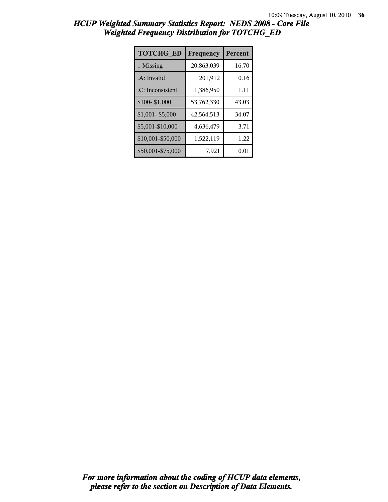| <b>TOTCHG ED</b>     | Frequency  | Percent |
|----------------------|------------|---------|
| $\therefore$ Missing | 20,863,039 | 16.70   |
| .A: Invalid          | 201,912    | 0.16    |
| .C: Inconsistent     | 1,386,950  | 1.11    |
| \$100-\$1,000        | 53,762,330 | 43.03   |
| $$1,001 - $5,000$    | 42,564,513 | 34.07   |
| \$5,001-\$10,000     | 4,636,479  | 3.71    |
| \$10,001-\$50,000    | 1,522,119  | 1.22    |
| \$50,001-\$75,000    | 7,921      | 0.01    |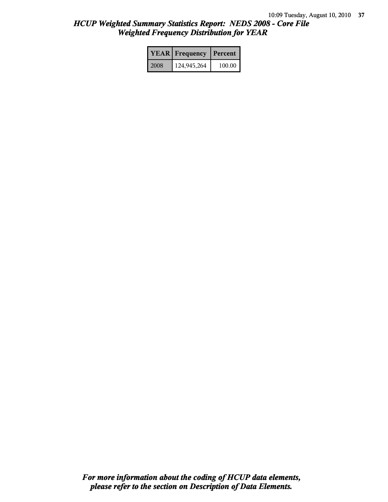|      | <b>YEAR</b> Frequency | Percent |
|------|-----------------------|---------|
| 2008 | 124,945,264           | 100.00  |